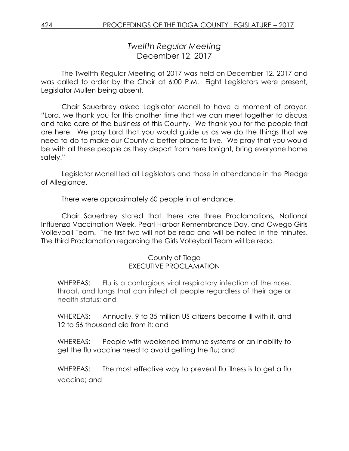# *Twelfth Regular Meeting* December 12, 2017

The Twelfth Regular Meeting of 2017 was held on December 12, 2017 and was called to order by the Chair at 6:00 P.M. Eight Legislators were present, Legislator Mullen being absent.

Chair Sauerbrey asked Legislator Monell to have a moment of prayer. "Lord, we thank you for this another time that we can meet together to discuss and take care of the business of this County. We thank you for the people that are here. We pray Lord that you would guide us as we do the things that we need to do to make our County a better place to live. We pray that you would be with all these people as they depart from here tonight, bring everyone home safely."

Legislator Monell led all Legislators and those in attendance in the Pledge of Allegiance.

There were approximately 60 people in attendance.

Chair Sauerbrey stated that there are three Proclamations, National Influenza Vaccination Week, Pearl Harbor Remembrance Day, and Owego Girls Volleyball Team. The first two will not be read and will be noted in the minutes. The third Proclamation regarding the Girls Volleyball Team will be read.

# County of Tioga EXECUTIVE PROCLAMATION

WHEREAS: Flu is a contagious viral respiratory infection of the nose, throat, and lungs that can infect all people regardless of their age or health status; and

WHEREAS: Annually, 9 to 35 million US citizens become ill with it, and 12 to 56 thousand die from it; and

WHEREAS: People with weakened immune systems or an inability to get the flu vaccine need to avoid getting the flu; and

WHEREAS: The most effective way to prevent flu illness is to get a flu vaccine; and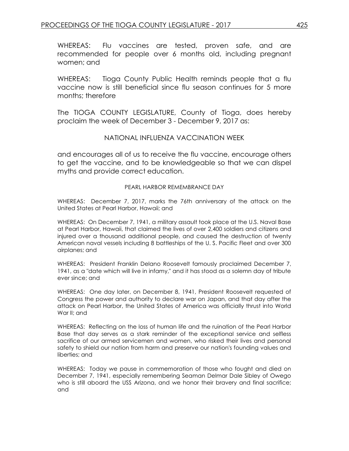WHEREAS: Flu vaccines are tested, proven safe, and are recommended for people over 6 months old, including pregnant women; and

WHEREAS: Tioga County Public Health reminds people that a flu vaccine now is still beneficial since flu season continues for 5 more months; therefore

The TIOGA COUNTY LEGISLATURE, County of Tioga, does hereby proclaim the week of December 3 - December 9, 2017 as:

#### NATIONAL INFLUENZA VACCINATION WEEK

and encourages all of us to receive the flu vaccine, encourage others to get the vaccine, and to be knowledgeable so that we can dispel myths and provide correct education.

#### PEARL HARBOR REMEMBRANCE DAY

WHEREAS: December 7, 2017, marks the 76th anniversary of the attack on the United States at Pearl Harbor, Hawaii; and

WHEREAS: On December 7, 1941, a military assault took place at the U.S. Naval Base at Pearl Harbor, Hawaii, that claimed the lives of over 2,400 soldiers and citizens and injured over a thousand additional people, and caused the destruction of twenty American naval vessels including 8 battleships of the U. S. Pacific Fleet and over 300 airplanes; and

WHEREAS: President Franklin Delano Roosevelt famously proclaimed December 7, 1941, as a "date which will live in infamy," and it has stood as a solemn day of tribute ever since; and

WHEREAS: One day later, on December 8, 1941, President Roosevelt requested of Congress the power and authority to declare war on Japan, and that day after the attack on Pearl Harbor, the United States of America was officially thrust into World War II; and

WHEREAS: Reflecting on the loss of human life and the ruination of the Pearl Harbor Base that day serves as a stark reminder of the exceptional service and selfless sacrifice of our armed servicemen and women, who risked their lives and personal safety to shield our nation from harm and preserve our nation's founding values and liberties; and

WHEREAS: Today we pause in commemoration of those who fought and died on December 7, 1941, especially remembering Seaman Delmar Dale Sibley of Owego who is still aboard the USS Arizona, and we honor their bravery and final sacrifice; and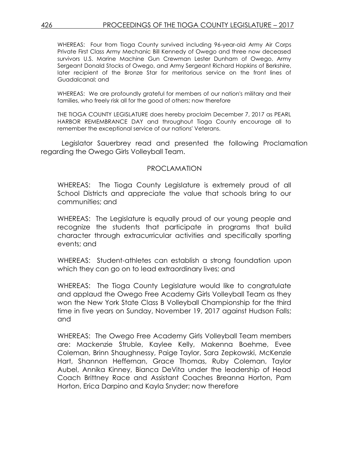WHEREAS: Four from Tioga County survived including 96-year-old Army Air Corps Private First Class Army Mechanic Bill Kennedy of Owego and three now deceased survivors U.S. Marine Machine Gun Crewman Lester Dunham of Owego, Army Sergeant Donald Stocks of Owego, and Army Sergeant Richard Hopkins of Berkshire, later recipient of the Bronze Star for meritorious service on the front lines of Guadalcanal; and

WHEREAS: We are profoundly grateful for members of our nation's military and their families, who freely risk all for the good of others; now therefore

THE TIOGA COUNTY LEGISLATURE does hereby proclaim December 7, 2017 as PEARL HARBOR REMEMBRANCE DAY and throughout Tioga County encourage all to remember the exceptional service of our nations' Veterans.

Legislator Sauerbrey read and presented the following Proclamation regarding the Owego Girls Volleyball Team.

#### PROCLAMATION

WHEREAS: The Tioga County Legislature is extremely proud of all School Districts and appreciate the value that schools bring to our communities; and

WHEREAS: The Legislature is equally proud of our young people and recognize the students that participate in programs that build character through extracurricular activities and specifically sporting events; and

WHEREAS: Student-athletes can establish a strong foundation upon which they can go on to lead extraordinary lives; and

WHEREAS: The Tioga County Legislature would like to congratulate and applaud the Owego Free Academy Girls Volleyball Team as they won the New York State Class B Volleyball Championship for the third time in five years on Sunday, November 19, 2017 against Hudson Falls; and

WHEREAS: The Owego Free Academy Girls Volleyball Team members are: Mackenzie Struble, Kaylee Kelly, Makenna Boehme, Evee Coleman, Brinn Shaughnessy, Paige Taylor, Sara Zepkowski, McKenzie Hart, Shannon Heffernan, Grace Thomas, Ruby Coleman, Taylor Aubel, Annika Kinney, Bianca DeVita under the leadership of Head Coach Brittney Race and Assistant Coaches Breanna Horton, Pam Horton, Erica Darpino and Kayla Snyder; now therefore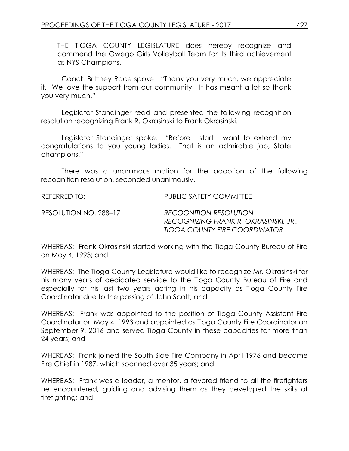THE TIOGA COUNTY LEGISLATURE does hereby recognize and commend the Owego Girls Volleyball Team for its third achievement as NYS Champions.

Coach Brittney Race spoke. "Thank you very much, we appreciate it. We love the support from our community. It has meant a lot so thank you very much."

Legislator Standinger read and presented the following recognition resolution recognizing Frank R. Okrasinski to Frank Okrasinski.

Legislator Standinger spoke. "Before I start I want to extend my congratulations to you young ladies. That is an admirable job, State champions."

There was a unanimous motion for the adoption of the following recognition resolution, seconded unanimously.

REFERRED TO: PUBLIC SAFETY COMMITTEE

RESOLUTION NO. 288–17 *RECOGNITION RESOLUTION RECOGNIZING FRANK R. OKRASINSKI, JR., TIOGA COUNTY FIRE COORDINATOR*

WHEREAS: Frank Okrasinski started working with the Tioga County Bureau of Fire on May 4, 1993; and

WHEREAS: The Tioga County Legislature would like to recognize Mr. Okrasinski for his many years of dedicated service to the Tioga County Bureau of Fire and especially for his last two years acting in his capacity as Tioga County Fire Coordinator due to the passing of John Scott; and

WHEREAS: Frank was appointed to the position of Tioga County Assistant Fire Coordinator on May 4, 1993 and appointed as Tioga County Fire Coordinator on September 9, 2016 and served Tioga County in these capacities for more than 24 years; and

WHEREAS: Frank joined the South Side Fire Company in April 1976 and became Fire Chief in 1987, which spanned over 35 years; and

WHEREAS: Frank was a leader, a mentor, a favored friend to all the firefighters he encountered, guiding and advising them as they developed the skills of firefighting; and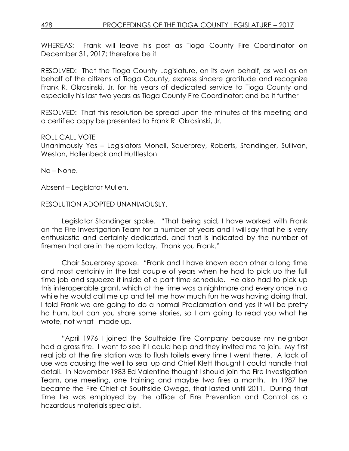WHEREAS: Frank will leave his post as Tioga County Fire Coordinator on December 31, 2017; therefore be it

RESOLVED: That the Tioga County Legislature, on its own behalf, as well as on behalf of the citizens of Tioga County, express sincere gratitude and recognize Frank R. Okrasinski, Jr. for his years of dedicated service to Tioga County and especially his last two years as Tioga County Fire Coordinator; and be it further

RESOLVED: That this resolution be spread upon the minutes of this meeting and a certified copy be presented to Frank R. Okrasinski, Jr.

# ROLL CALL VOTE

Unanimously Yes – Legislators Monell, Sauerbrey, Roberts, Standinger, Sullivan, Weston, Hollenbeck and Huttleston.

No – None.

Absent – Legislator Mullen.

# RESOLUTION ADOPTED UNANIMOUSLY.

Legislator Standinger spoke. "That being said, I have worked with Frank on the Fire Investigation Team for a number of years and I will say that he is very enthusiastic and certainly dedicated, and that is indicated by the number of firemen that are in the room today. Thank you Frank."

Chair Sauerbrey spoke. "Frank and I have known each other a long time and most certainly in the last couple of years when he had to pick up the full time job and squeeze it inside of a part time schedule. He also had to pick up this interoperable grant, which at the time was a nightmare and every once in a while he would call me up and tell me how much fun he was having doing that. I told Frank we are going to do a normal Proclamation and yes it will be pretty ho hum, but can you share some stories, so I am going to read you what he wrote, not what I made up.

"April 1976 I joined the Southside Fire Company because my neighbor had a grass fire. I went to see if I could help and they invited me to join. My first real job at the fire station was to flush toilets every time I went there. A lack of use was causing the well to seal up and Chief Klett thought I could handle that detail. In November 1983 Ed Valentine thought I should join the Fire Investigation Team, one meeting, one training and maybe two fires a month. In 1987 he became the Fire Chief of Southside Owego, that lasted until 2011. During that time he was employed by the office of Fire Prevention and Control as a hazardous materials specialist.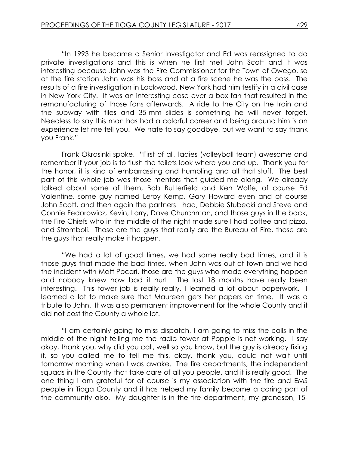"In 1993 he became a Senior Investigator and Ed was reassigned to do private investigations and this is when he first met John Scott and it was interesting because John was the Fire Commissioner for the Town of Owego, so at the fire station John was his boss and at a fire scene he was the boss. The results of a fire investigation in Lockwood, New York had him testify in a civil case in New York City. It was an interesting case over a box fan that resulted in the remanufacturing of those fans afterwards. A ride to the City on the train and the subway with files and 35-mm slides is something he will never forget. Needless to say this man has had a colorful career and being around him is an experience let me tell you. We hate to say goodbye, but we want to say thank you Frank."

Frank Okrasinki spoke. "First of all, ladies (volleyball team) awesome and remember if your job is to flush the toilets look where you end up. Thank you for the honor, it is kind of embarrassing and humbling and all that stuff. The best part of this whole job was those mentors that guided me along. We already talked about some of them, Bob Butterfield and Ken Wolfe, of course Ed Valentine, some guy named Leroy Kemp, Gary Howard even and of course John Scott, and then again the partners I had, Debbie Stubecki and Steve and Connie Fedorowicz, Kevin, Larry, Dave Churchman, and those guys in the back, the Fire Chiefs who in the middle of the night made sure I had coffee and pizza, and Stromboli. Those are the guys that really are the Bureau of Fire, those are the guys that really make it happen.

"We had a lot of good times, we had some really bad times, and it is those guys that made the bad times, when John was out of town and we had the incident with Matt Pocari, those are the guys who made everything happen and nobody knew how bad it hurt. The last 18 months have really been interesting. This tower job is really really, I learned a lot about paperwork. I learned a lot to make sure that Maureen gets her papers on time. It was a tribute to John. It was also permanent improvement for the whole County and it did not cost the County a whole lot.

"I am certainly going to miss dispatch, I am going to miss the calls in the middle of the night telling me the radio tower at Popple is not working. I say okay, thank you, why did you call, well so you know, but the guy is already fixing it, so you called me to tell me this, okay, thank you, could not wait until tomorrow morning when I was awake. The fire departments, the independent squads in the County that take care of all you people, and it is really good. The one thing I am grateful for of course is my association with the fire and EMS people in Tioga County and it has helped my family become a caring part of the community also. My daughter is in the fire department, my grandson, 15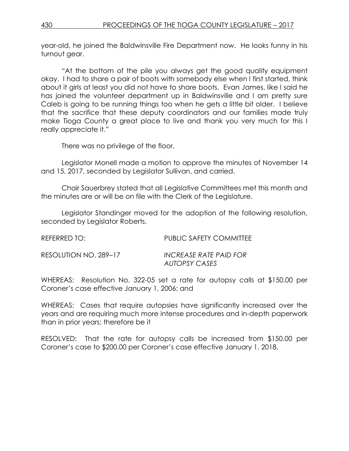year-old, he joined the Baldwinsville Fire Department now. He looks funny in his turnout gear.

"At the bottom of the pile you always get the good quality equipment okay. I had to share a pair of boots with somebody else when I first started, think about it girls at least you did not have to share boots. Evan James, like I said he has joined the volunteer department up in Baldwinsville and I am pretty sure Caleb is going to be running things too when he gets a little bit older. I believe that the sacrifice that these deputy coordinators and our families made truly make Tioga County a great place to live and thank you very much for this I really appreciate it."

There was no privilege of the floor.

Legislator Monell made a motion to approve the minutes of November 14 and 15, 2017, seconded by Legislator Sullivan, and carried.

Chair Sauerbrey stated that all Legislative Committees met this month and the minutes are or will be on file with the Clerk of the Legislature.

Legislator Standinger moved for the adoption of the following resolution, seconded by Legislator Roberts.

| REFERRED TO:          | PUBLIC SAFETY COMMITTEE                 |
|-----------------------|-----------------------------------------|
| RESOLUTION NO. 289–17 | INCREASE RATE PAID FOR<br>AUTOPSY CASES |

WHEREAS: Resolution No. 322-05 set a rate for autopsy calls at \$150.00 per Coroner's case effective January 1, 2006; and

WHEREAS: Cases that require autopsies have significantly increased over the years and are requiring much more intense procedures and in-depth paperwork than in prior years; therefore be it

RESOLVED: That the rate for autopsy calls be increased from \$150.00 per Coroner's case to \$200.00 per Coroner's case effective January 1, 2018.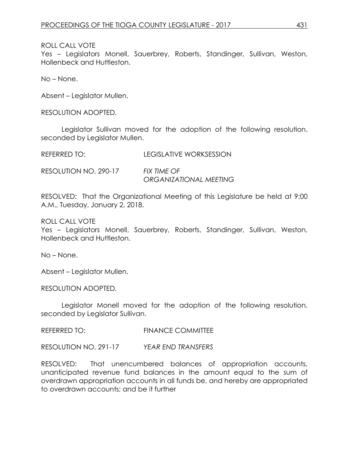Yes – Legislators Monell, Sauerbrey, Roberts, Standinger, Sullivan, Weston, Hollenbeck and Huttleston.

No – None.

Absent – Legislator Mullen.

RESOLUTION ADOPTED.

Legislator Sullivan moved for the adoption of the following resolution, seconded by Legislator Mullen.

REFERRED TO: LEGISLATIVE WORKSESSION

RESOLUTION NO. 290-17 *FIX TIME OF ORGANIZATIONAL MEETING*

RESOLVED: That the Organizational Meeting of this Legislature be held at 9:00 A.M., Tuesday, January 2, 2018.

ROLL CALL VOTE

Yes – Legislators Monell, Sauerbrey, Roberts, Standinger, Sullivan, Weston, Hollenbeck and Huttleston.

No – None.

Absent – Legislator Mullen.

RESOLUTION ADOPTED.

Legislator Monell moved for the adoption of the following resolution, seconded by Legislator Sullivan.

REFERRED TO: FINANCE COMMITTEE

RESOLUTION NO. 291-17 *YEAR END TRANSFERS*

RESOLVED: That unencumbered balances of appropriation accounts, unanticipated revenue fund balances in the amount equal to the sum of overdrawn appropriation accounts in all funds be, and hereby are appropriated to overdrawn accounts; and be it further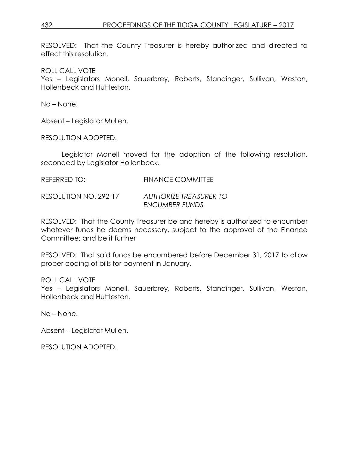RESOLVED: That the County Treasurer is hereby authorized and directed to effect this resolution.

ROLL CALL VOTE

Yes – Legislators Monell, Sauerbrey, Roberts, Standinger, Sullivan, Weston, Hollenbeck and Huttleston.

No – None.

Absent – Legislator Mullen.

RESOLUTION ADOPTED.

Legislator Monell moved for the adoption of the following resolution, seconded by Legislator Hollenbeck.

REFERRED TO: FINANCE COMMITTEE

RESOLUTION NO. 292-17 *AUTHORIZE TREASURER TO ENCUMBER FUNDS*

RESOLVED: That the County Treasurer be and hereby is authorized to encumber whatever funds he deems necessary, subject to the approval of the Finance Committee; and be it further

RESOLVED: That said funds be encumbered before December 31, 2017 to allow proper coding of bills for payment in January.

ROLL CALL VOTE

Yes – Legislators Monell, Sauerbrey, Roberts, Standinger, Sullivan, Weston, Hollenbeck and Huttleston.

No – None.

Absent – Legislator Mullen.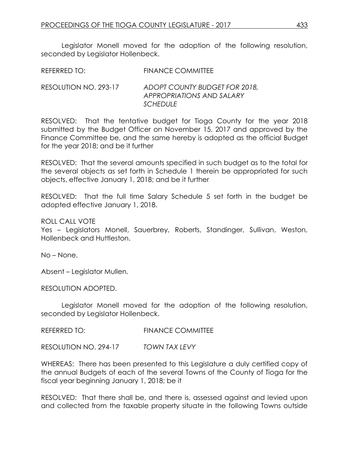Legislator Monell moved for the adoption of the following resolution, seconded by Legislator Hollenbeck.

RESOLUTION NO. 293-17 *ADOPT COUNTY BUDGET FOR 2018, APPROPRIATIONS AND SALARY SCHEDULE*

RESOLVED: That the tentative budget for Tioga County for the year 2018 submitted by the Budget Officer on November 15, 2017 and approved by the Finance Committee be, and the same hereby is adopted as the official Budget for the year 2018; and be it further

RESOLVED: That the several amounts specified in such budget as to the total for the several objects as set forth in Schedule 1 therein be appropriated for such objects, effective January 1, 2018; and be it further

RESOLVED: That the full time Salary Schedule 5 set forth in the budget be adopted effective January 1, 2018.

ROLL CALL VOTE

Yes – Legislators Monell, Sauerbrey, Roberts, Standinger, Sullivan, Weston, Hollenbeck and Huttleston.

No – None.

Absent – Legislator Mullen.

RESOLUTION ADOPTED.

Legislator Monell moved for the adoption of the following resolution, seconded by Legislator Hollenbeck.

REFERRED TO: FINANCE COMMITTEE

RESOLUTION NO. 294-17 *TOWN TAX LEVY*

WHEREAS: There has been presented to this Legislature a duly certified copy of the annual Budgets of each of the several Towns of the County of Tioga for the fiscal year beginning January 1, 2018; be it

RESOLVED: That there shall be, and there is, assessed against and levied upon and collected from the taxable property situate in the following Towns outside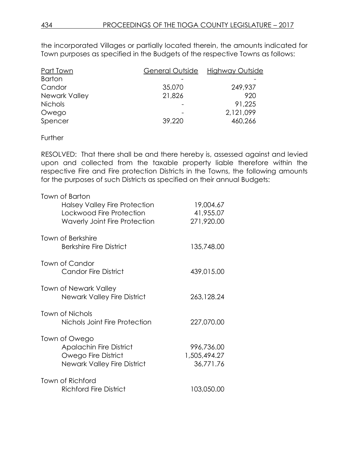the incorporated Villages or partially located therein, the amounts indicated for Town purposes as specified in the Budgets of the respective Towns as follows:

| Part Town      | General Outside | Highway Outside |
|----------------|-----------------|-----------------|
| <b>Barton</b>  |                 |                 |
| Candor         | 35,070          | 249,937         |
| Newark Valley  | 21,826          | 920             |
| <b>Nichols</b> |                 | 91,225          |
| Owego          |                 | 2,121,099       |
| Spencer        | 39,220          | 460,266         |

#### **Further**

RESOLVED: That there shall be and there hereby is, assessed against and levied upon and collected from the taxable property liable therefore within the respective Fire and Fire protection Districts in the Towns, the following amounts for the purposes of such Districts as specified on their annual Budgets:

| Town of Barton<br><b>Halsey Valley Fire Protection</b><br>Lockwood Fire Protection<br><b>Waverly Joint Fire Protection</b> | 19,004.67<br>41,955.07<br>271,920.00    |
|----------------------------------------------------------------------------------------------------------------------------|-----------------------------------------|
| <b>Town of Berkshire</b><br><b>Berkshire Fire District</b>                                                                 | 135,748.00                              |
| Town of Candor<br><b>Candor Fire District</b>                                                                              | 439,015.00                              |
| <b>Town of Newark Valley</b><br><b>Newark Valley Fire District</b>                                                         | 263,128.24                              |
| Town of Nichols<br>Nichols Joint Fire Protection                                                                           | 227,070.00                              |
| Town of Owego<br><b>Apalachin Fire District</b><br>Owego Fire District<br><b>Newark Valley Fire District</b>               | 996,736.00<br>1,505,494.27<br>36,771.76 |
| Town of Richford<br><b>Richford Fire District</b>                                                                          | 103,050.00                              |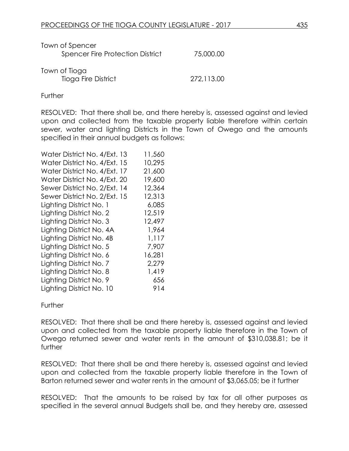| Town of Spencer<br><b>Spencer Fire Protection District</b> | 75,000.00  |
|------------------------------------------------------------|------------|
| Town of Tioga<br>Tioga Fire District                       | 272,113.00 |

Further

RESOLVED: That there shall be, and there hereby is, assessed against and levied upon and collected from the taxable property liable therefore within certain sewer, water and lighting Districts in the Town of Owego and the amounts specified in their annual budgets as follows:

| Water District No. 4/Ext. 13 | 11,560 |
|------------------------------|--------|
| Water District No. 4/Ext. 15 | 10,295 |
| Water District No. 4/Ext. 17 | 21,600 |
| Water District No. 4/Ext. 20 | 19,600 |
| Sewer District No. 2/Ext. 14 | 12,364 |
| Sewer District No. 2/Ext. 15 | 12,313 |
| Lighting District No. 1      | 6,085  |
| Lighting District No. 2      | 12,519 |
| Lighting District No. 3      | 12,497 |
| Lighting District No. 4A     | 1,964  |
| Lighting District No. 4B     | 1,117  |
| Lighting District No. 5      | 7,907  |
| Lighting District No. 6      | 16,281 |
| Lighting District No. 7      | 2,279  |
| Lighting District No. 8      | 1,419  |
| Lighting District No. 9      | 656    |
| Lighting District No. 10     | 914    |

#### **Further**

RESOLVED: That there shall be and there hereby is, assessed against and levied upon and collected from the taxable property liable therefore in the Town of Owego returned sewer and water rents in the amount of \$310,038.81; be it further

RESOLVED: That there shall be and there hereby is, assessed against and levied upon and collected from the taxable property liable therefore in the Town of Barton returned sewer and water rents in the amount of \$3,065.05; be it further

RESOLVED: That the amounts to be raised by tax for all other purposes as specified in the several annual Budgets shall be, and they hereby are, assessed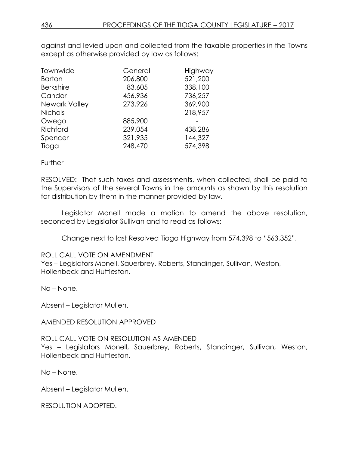against and levied upon and collected from the taxable properties in the Towns except as otherwise provided by law as follows:

| Townwide         | General | Highway |
|------------------|---------|---------|
| <b>Barton</b>    | 206,800 | 521,200 |
| <b>Berkshire</b> | 83,605  | 338,100 |
| Candor           | 456,936 | 736,257 |
| Newark Valley    | 273,926 | 369,900 |
| <b>Nichols</b>   |         | 218,957 |
| Owego            | 885,900 |         |
| Richford         | 239,054 | 438,286 |
| Spencer          | 321,935 | 144,327 |
| Tioga            | 248,470 | 574,398 |

#### Further

RESOLVED: That such taxes and assessments, when collected, shall be paid to the Supervisors of the several Towns in the amounts as shown by this resolution for distribution by them in the manner provided by law.

Legislator Monell made a motion to amend the above resolution, seconded by Legislator Sullivan and to read as follows:

Change next to last Resolved Tioga Highway from 574,398 to "563,352".

ROLL CALL VOTE ON AMENDMENT

Yes – Legislators Monell, Sauerbrey, Roberts, Standinger, Sullivan, Weston, Hollenbeck and Huttleston.

No – None.

Absent – Legislator Mullen.

AMENDED RESOLUTION APPROVED

#### ROLL CALL VOTE ON RESOLUTION AS AMENDED

Yes – Legislators Monell, Sauerbrey, Roberts, Standinger, Sullivan, Weston, Hollenbeck and Huttleston.

No – None.

Absent – Legislator Mullen.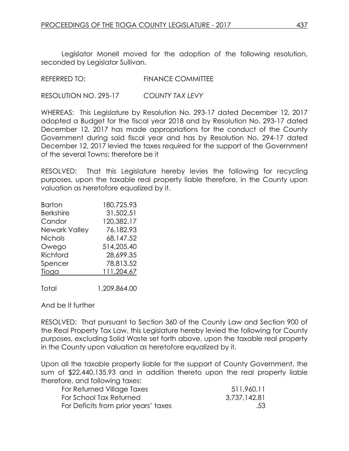Legislator Monell moved for the adoption of the following resolution, seconded by Legislator Sullivan.

REFERRED TO: FINANCE COMMITTEE

RESOLUTION NO. 295-17 *COUNTY TAX LEVY*

WHEREAS: This Legislature by Resolution No. 293-17 dated December 12, 2017 adopted a Budget for the fiscal year 2018 and by Resolution No. 293-17 dated December 12, 2017 has made appropriations for the conduct of the County Government during said fiscal year and has by Resolution No. 294-17 dated December 12, 2017 levied the taxes required for the support of the Government of the several Towns; therefore be it

RESOLVED: That this Legislature hereby levies the following for recycling purposes, upon the taxable real property liable therefore, in the County upon valuation as heretofore equalized by it.

| Barton               | 180,725.93 |
|----------------------|------------|
| <b>Berkshire</b>     | 31,502.51  |
| Candor               | 120,382.17 |
| <b>Newark Valley</b> | 76,182.93  |
| <b>Nichols</b>       | 68,147.52  |
| Owego                | 514,205.40 |
| Richford             | 28,699.35  |
| Spencer              | 78,813.52  |
| Tioga                | 111,204.67 |
|                      |            |

Total 1,209,864.00

And be it further

RESOLVED: That pursuant to Section 360 of the County Law and Section 900 of the Real Property Tax Law, this Legislature hereby levied the following for County purposes, excluding Solid Waste set forth above, upon the taxable real property in the County upon valuation as heretofore equalized by it.

Upon all the taxable property liable for the support of County Government, the sum of \$22,440,135.93 and in addition thereto upon the real property liable therefore, and following taxes:

| For Returned Village Taxes           | 511,960.11   |
|--------------------------------------|--------------|
| For School Tax Returned              | 3,737,142.81 |
| For Deficits from prior years' taxes | .53          |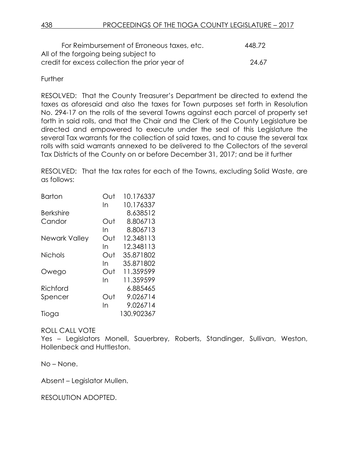| For Reimbursement of Erroneous taxes, etc.     | 448.72 |
|------------------------------------------------|--------|
| All of the forgoing being subject to           |        |
| credit for excess collection the prior year of | 24.67  |

# **Further**

RESOLVED: That the County Treasurer's Department be directed to extend the taxes as aforesaid and also the taxes for Town purposes set forth in Resolution No. 294-17 on the rolls of the several Towns against each parcel of property set forth in said rolls, and that the Chair and the Clerk of the County Legislature be directed and empowered to execute under the seal of this Legislature the several Tax warrants for the collection of said taxes, and to cause the several tax rolls with said warrants annexed to be delivered to the Collectors of the several Tax Districts of the County on or before December 31, 2017; and be it further

RESOLVED: That the tax rates for each of the Towns, excluding Solid Waste, are as follows:

| <b>Barton</b>    | Out | 10.176337  |
|------------------|-----|------------|
|                  | In  | 10.176337  |
| <b>Berkshire</b> |     | 8.638512   |
| Candor           | Out | 8.806713   |
|                  | In  | 8.806713   |
| Newark Valley    | Out | 12.348113  |
|                  | In  | 12.348113  |
| <b>Nichols</b>   | Out | 35.871802  |
|                  | In  | 35.871802  |
| Owego            | Out | 11.359599  |
|                  | In  | 11.359599  |
| Richford         |     | 6.885465   |
| Spencer          | Out | 9.026714   |
|                  | In  | 9.026714   |
| Tioga            |     | 130.902367 |

# ROLL CALL VOTE

Yes – Legislators Monell, Sauerbrey, Roberts, Standinger, Sullivan, Weston, Hollenbeck and Huttleston.

No – None.

Absent – Legislator Mullen.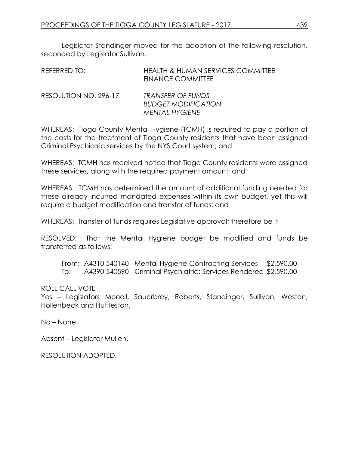Legislator Standinger moved for the adoption of the following resolution, seconded by Legislator Sullivan.

| REFERRED TO:          | HEALTH & HUMAN SERVICES COMMITTEE<br>FINANCE COMMITTEE                   |
|-----------------------|--------------------------------------------------------------------------|
| RESOLUTION NO. 296-17 | <b>TRANSFER OF FUNDS</b><br><b>BUDGET MODIFICATION</b><br>MENTAL HYGIENE |

WHEREAS: Tioga County Mental Hygiene (TCMH) is required to pay a portion of the costs for the treatment of Tioga County residents that have been assigned Criminal Psychiatric services by the NYS Court system; and

WHEREAS: TCMH has received notice that Tioga County residents were assigned these services, along with the required payment amount; and

WHEREAS: TCMH has determined the amount of additional funding needed for these already incurred mandated expenses within its own budget, yet this will require a budget modification and transfer of funds; and

WHEREAS: Transfer of funds requires Legislative approval; therefore be it

RESOLVED: That the Mental Hygiene budget be modified and funds be transferred as follows:

From: A4310 540140 Mental Hygiene-Contracting Services \$2,590.00 To: A4390 540590 Criminal Psychiatric: Services Rendered \$2,590.00

# ROLL CALL VOTE

Yes – Legislators Monell, Sauerbrey, Roberts, Standinger, Sullivan, Weston, Hollenbeck and Huttleston.

No – None.

Absent – Legislator Mullen.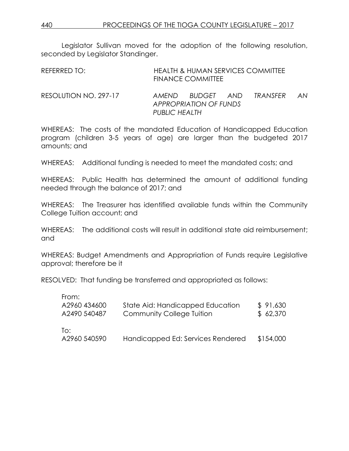Legislator Sullivan moved for the adoption of the following resolution, seconded by Legislator Standinger.

| REFERRED TO:          | <b>HEALTH &amp; HUMAN SERVICES COMMITTEE</b><br><b>FINANCE COMMITTEE</b> |                                            |  |          |     |
|-----------------------|--------------------------------------------------------------------------|--------------------------------------------|--|----------|-----|
| RESOLUTION NO. 297-17 | <b>PUBLIC HEALTH</b>                                                     | AMEND BUDGET AND<br>APPROPRIATION OF FUNDS |  | TRANSFFR | AN. |

WHEREAS: The costs of the mandated Education of Handicapped Education program (children 3-5 years of age) are larger than the budgeted 2017 amounts; and

WHEREAS: Additional funding is needed to meet the mandated costs; and

WHEREAS: Public Health has determined the amount of additional funding needed through the balance of 2017; and

WHEREAS: The Treasurer has identified available funds within the Community College Tuition account; and

WHEREAS: The additional costs will result in additional state aid reimbursement: and

WHEREAS: Budget Amendments and Appropriation of Funds require Legislative approval; therefore be it

RESOLVED: That funding be transferred and appropriated as follows:

| From:        |                                   |           |
|--------------|-----------------------------------|-----------|
| A2960 434600 | State Aid: Handicapped Education  | \$91,630  |
| A2490 540487 | <b>Community College Tuition</b>  | \$62,370  |
| To:          |                                   |           |
| A2960 540590 | Handicapped Ed: Services Rendered | \$154,000 |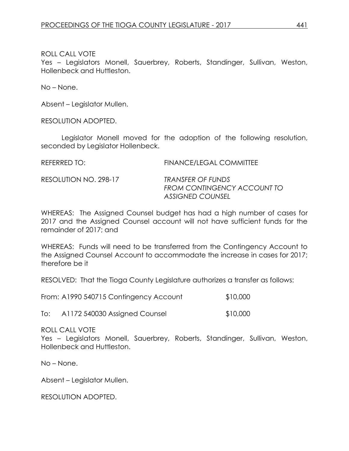Yes – Legislators Monell, Sauerbrey, Roberts, Standinger, Sullivan, Weston, Hollenbeck and Huttleston.

No – None.

Absent – Legislator Mullen.

RESOLUTION ADOPTED.

Legislator Monell moved for the adoption of the following resolution, seconded by Legislator Hollenbeck.

REFERRED TO: FINANCE/LEGAL COMMITTEE

RESOLUTION NO. 298-17 *TRANSFER OF FUNDS*

*FROM CONTINGENCY ACCOUNT TO ASSIGNED COUNSEL*

WHEREAS: The Assigned Counsel budget has had a high number of cases for 2017 and the Assigned Counsel account will not have sufficient funds for the remainder of 2017; and

WHEREAS: Funds will need to be transferred from the Contingency Account to the Assigned Counsel Account to accommodate the increase in cases for 2017; therefore be it

RESOLVED: That the Tioga County Legislature authorizes a transfer as follows:

| From: A1990 540715 Contingency Account | \$10,000 |
|----------------------------------------|----------|
|----------------------------------------|----------|

To: A1172 540030 Assigned Counsel \$10,000

# ROLL CALL VOTE

Yes – Legislators Monell, Sauerbrey, Roberts, Standinger, Sullivan, Weston, Hollenbeck and Huttleston.

No – None.

Absent – Legislator Mullen.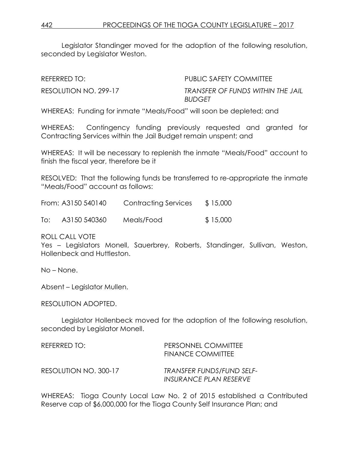Legislator Standinger moved for the adoption of the following resolution, seconded by Legislator Weston.

REFERRED TO: THE PUBLIC SAFETY COMMITTEE

RESOLUTION NO. 299-17 *TRANSFER OF FUNDS WITHIN THE JAIL BUDGET*

WHEREAS: Funding for inmate "Meals/Food" will soon be depleted; and

WHEREAS: Contingency funding previously requested and granted for Contracting Services within the Jail Budget remain unspent; and

WHEREAS: It will be necessary to replenish the inmate "Meals/Food" account to finish the fiscal year, therefore be it

RESOLVED: That the following funds be transferred to re-appropriate the inmate "Meals/Food" account as follows:

| From: A3150 540140 |              | <b>Contracting Services</b> | \$15,000 |  |
|--------------------|--------------|-----------------------------|----------|--|
| lo:                | A3150 540360 | Meals/Food                  | \$15,000 |  |

ROLL CALL VOTE

Yes – Legislators Monell, Sauerbrey, Roberts, Standinger, Sullivan, Weston, Hollenbeck and Huttleston.

No – None.

Absent – Legislator Mullen.

RESOLUTION ADOPTED.

Legislator Hollenbeck moved for the adoption of the following resolution, seconded by Legislator Monell.

| REFERRED TO:          | PERSONNEL COMMITTEE<br><b>FINANCE COMMITTEE</b>     |
|-----------------------|-----------------------------------------------------|
| RESOLUTION NO. 300-17 | TRANSFER FUNDS/FUND SELF-<br>INSURANCE PLAN RESERVE |

WHEREAS: Tioga County Local Law No. 2 of 2015 established a Contributed Reserve cap of \$6,000,000 for the Tioga County Self Insurance Plan; and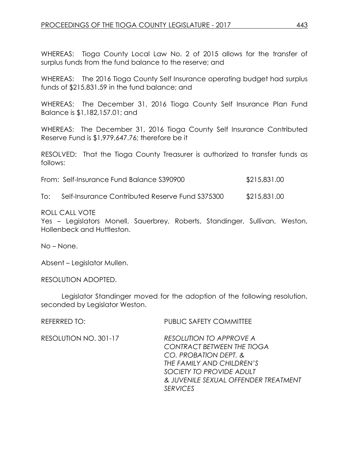WHEREAS: Tioga County Local Law No. 2 of 2015 allows for the transfer of surplus funds from the fund balance to the reserve; and

WHEREAS: The 2016 Tioga County Self Insurance operating budget had surplus funds of \$215,831.59 in the fund balance; and

WHEREAS: The December 31, 2016 Tioga County Self Insurance Plan Fund Balance is \$1,182,157.01; and

WHEREAS: The December 31, 2016 Tioga County Self Insurance Contributed Reserve Fund is \$1,979,647.76; therefore be it

RESOLVED: That the Tioga County Treasurer is authorized to transfer funds as follows:

| From: Self-Insurance Fund Balance S390900 | \$215,831.00 |
|-------------------------------------------|--------------|
|                                           |              |

To: Self-Insurance Contributed Reserve Fund S375300 \$215,831.00

#### ROLL CALL VOTE

Yes – Legislators Monell, Sauerbrey, Roberts, Standinger, Sullivan, Weston, Hollenbeck and Huttleston.

No – None.

Absent – Legislator Mullen.

RESOLUTION ADOPTED.

Legislator Standinger moved for the adoption of the following resolution, seconded by Legislator Weston.

REFERRED TO: PUBLIC SAFETY COMMITTEE

RESOLUTION NO. 301-17 *RESOLUTION TO APPROVE A CONTRACT BETWEEN THE TIOGA CO. PROBATION DEPT. & THE FAMILY AND CHILDREN'S SOCIETY TO PROVIDE ADULT & JUVENILE SEXUAL OFFENDER TREATMENT SERVICES*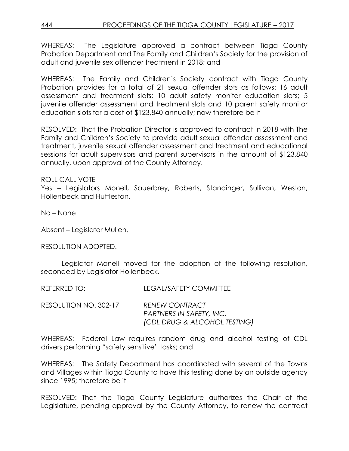WHEREAS: The Legislature approved a contract between Tioga County Probation Department and The Family and Children's Society for the provision of adult and juvenile sex offender treatment in 2018; and

WHEREAS: The Family and Children's Society contract with Tioga County Probation provides for a total of 21 sexual offender slots as follows: 16 adult assessment and treatment slots; 10 adult safety monitor education slots; 5 juvenile offender assessment and treatment slots and 10 parent safety monitor education slots for a cost of \$123,840 annually; now therefore be it

RESOLVED: That the Probation Director is approved to contract in 2018 with The Family and Children's Society to provide adult sexual offender assessment and treatment, juvenile sexual offender assessment and treatment and educational sessions for adult supervisors and parent supervisors in the amount of \$123,840 annually, upon approval of the County Attorney.

# ROLL CALL VOTE

Yes – Legislators Monell, Sauerbrey, Roberts, Standinger, Sullivan, Weston, Hollenbeck and Huttleston.

No – None.

Absent – Legislator Mullen.

RESOLUTION ADOPTED.

Legislator Monell moved for the adoption of the following resolution, seconded by Legislator Hollenbeck.

REFERRED TO: LEGAL/SAFETY COMMITTEE

RESOLUTION NO. 302-17 *RENEW CONTRACT PARTNERS IN SAFETY, INC. (CDL DRUG & ALCOHOL TESTING)*

WHEREAS: Federal Law requires random drug and alcohol testing of CDL drivers performing "safety sensitive" tasks; and

WHEREAS: The Safety Department has coordinated with several of the Towns and Villages within Tioga County to have this testing done by an outside agency since 1995; therefore be it

RESOLVED: That the Tioga County Legislature authorizes the Chair of the Legislature, pending approval by the County Attorney, to renew the contract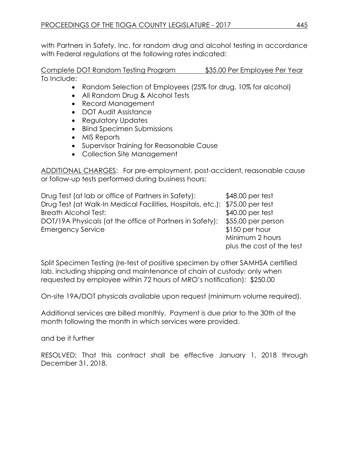with Partners in Safety, Inc. for random drug and alcohol testing in accordance with Federal regulations at the following rates indicated:

Complete DOT Random Testing Program \$35.00 Per Employee Per Year To Include:

- Random Selection of Employees (25% for drug, 10% for alcohol)
- All Random Drug & Alcohol Tests
- Record Management
- DOT Audit Assistance
- Regulatory Updates
- Blind Specimen Submissions
- MIS Reports
- Supervisor Training for Reasonable Cause
- Collection Site Management

ADDITIONAL CHARGES: For pre-employment, post-accident, reasonable cause or follow-up tests performed during business hours:

Drug Test (at lab or office of Partners in Safety): \$48.00 per test Drug Test (at Walk-In Medical Facilities, Hospitals, etc.): \$75.00 per test Breath Alcohol Test:  $$40.00$  per test DOT/19A Physicals (at the office of Partners in Safety): \$55.00 per person Emergency Service \$150 per hour Minimum 2 hours

Split Specimen Testing (re-test of positive specimen by other SAMHSA certified lab, including shipping and maintenance of chain of custody; only when requested by employee within 72 hours of MRO's notification): \$250.00

On-site 19A/DOT physicals available upon request (minimum volume required).

Additional services are billed monthly. Payment is due prior to the 30th of the month following the month in which services were provided.

and be it further

RESOLVED: That this contract shall be effective January 1, 2018 through December 31, 2018.

plus the cost of the test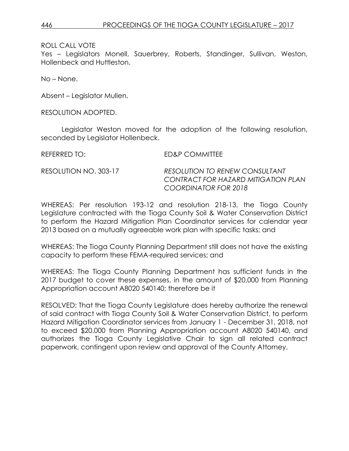Yes – Legislators Monell, Sauerbrey, Roberts, Standinger, Sullivan, Weston, Hollenbeck and Huttleston.

No – None.

Absent – Legislator Mullen.

RESOLUTION ADOPTED.

Legislator Weston moved for the adoption of the following resolution, seconded by Legislator Hollenbeck.

REFERRED TO: ED&P COMMITTEE RESOLUTION NO. 303-17 *RESOLUTION TO RENEW CONSULTANT CONTRACT FOR HAZARD MITIGATION PLAN COORDINATOR FOR 2018*

WHEREAS: Per resolution 193-12 and resolution 218-13, the Tioga County Legislature contracted with the Tioga County Soil & Water Conservation District to perform the Hazard Mitigation Plan Coordinator services for calendar year 2013 based on a mutually agreeable work plan with specific tasks; and

WHEREAS: The Tioga County Planning Department still does not have the existing capacity to perform these FEMA-required services; and

WHEREAS: The Tioga County Planning Department has sufficient funds in the 2017 budget to cover these expenses, in the amount of \$20,000 from Planning Appropriation account A8020 540140; therefore be it

RESOLVED: That the Tioga County Legislature does hereby authorize the renewal of said contract with Tioga County Soil & Water Conservation District, to perform Hazard Mitigation Coordinator services from January 1 - December 31, 2018, not to exceed \$20,000 from Planning Appropriation account A8020 540140, and authorizes the Tioga County Legislative Chair to sign all related contract paperwork, contingent upon review and approval of the County Attorney.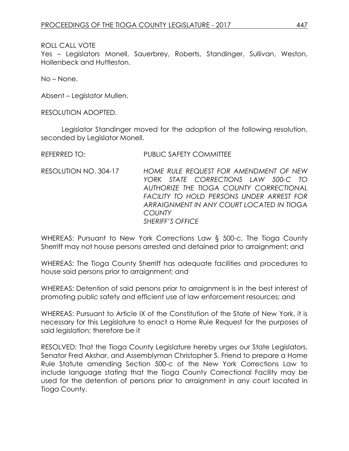Yes – Legislators Monell, Sauerbrey, Roberts, Standinger, Sullivan, Weston, Hollenbeck and Huttleston.

No – None.

Absent – Legislator Mullen.

RESOLUTION ADOPTED.

Legislator Standinger moved for the adoption of the following resolution, seconded by Legislator Monell.

| REFERRED TO: | <b>PUBLIC SAFETY COMMITTEE</b> |
|--------------|--------------------------------|

RESOLUTION NO. 304-17 *HOME RULE REQUEST FOR AMENDMENT OF NEW YORK STATE CORRECTIONS LAW 500-C TO AUTHORIZE THE TIOGA COUNTY CORRECTIONAL FACILITY TO HOLD PERSONS UNDER ARREST FOR ARRAIGNMENT IN ANY COURT LOCATED IN TIOGA COUNTY SHERIFF'S OFFICE*

WHEREAS: Pursuant to New York Corrections Law § 500-c, The Tioga County Sherriff may not house persons arrested and detained prior to arraignment; and

WHEREAS: The Tioga County Sherriff has adequate facilities and procedures to house said persons prior to arraignment; and

WHEREAS: Detention of said persons prior to arraignment is in the best interest of promoting public safety and efficient use of law enforcement resources; and

WHEREAS: Pursuant to Article IX of the Constitution of the State of New York, it is necessary for this Legislature to enact a Home Rule Request for the purposes of said legislation; therefore be it

RESOLVED: That the Tioga County Legislature hereby urges our State Legislators, Senator Fred Akshar, and Assemblyman Christopher S. Friend to prepare a Home Rule Statute amending Section 500-c of the New York Corrections Law to include language stating that the Tioga County Correctional Facility may be used for the detention of persons prior to arraignment in any court located in Tioga County.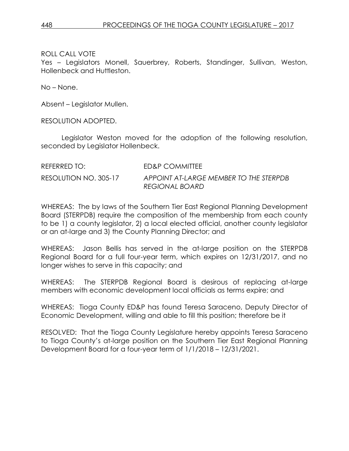Yes – Legislators Monell, Sauerbrey, Roberts, Standinger, Sullivan, Weston, Hollenbeck and Huttleston.

No – None.

Absent – Legislator Mullen.

RESOLUTION ADOPTED.

Legislator Weston moved for the adoption of the following resolution, seconded by Legislator Hollenbeck.

| REFERRED TO:          | ED&P COMMITTEE                                           |
|-----------------------|----------------------------------------------------------|
| RESOLUTION NO. 305-17 | APPOINT AT-LARGE MEMBER TO THE STERPDB<br>REGIONAL BOARD |

WHEREAS: The by laws of the Southern Tier East Regional Planning Development Board (STERPDB) require the composition of the membership from each county to be 1) a county legislator, 2) a local elected official, another county legislator or an at-large and 3) the County Planning Director; and

WHEREAS: Jason Bellis has served in the at-large position on the STERPDB Regional Board for a full four-year term, which expires on 12/31/2017, and no longer wishes to serve in this capacity; and

WHEREAS: The STERPDB Regional Board is desirous of replacing at-large members with economic development local officials as terms expire; and

WHEREAS: Tioga County ED&P has found Teresa Saraceno, Deputy Director of Economic Development, willing and able to fill this position; therefore be it

RESOLVED: That the Tioga County Legislature hereby appoints Teresa Saraceno to Tioga County's at-large position on the Southern Tier East Regional Planning Development Board for a four-year term of 1/1/2018 – 12/31/2021.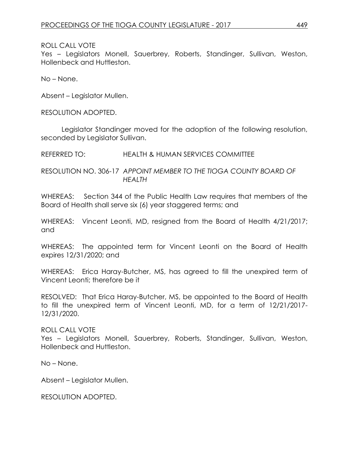Yes – Legislators Monell, Sauerbrey, Roberts, Standinger, Sullivan, Weston, Hollenbeck and Huttleston.

No – None.

Absent – Legislator Mullen.

RESOLUTION ADOPTED.

Legislator Standinger moved for the adoption of the following resolution, seconded by Legislator Sullivan.

REFERRED TO: HEALTH & HUMAN SERVICES COMMITTEE

RESOLUTION NO. 306-17 *APPOINT MEMBER TO THE TIOGA COUNTY BOARD OF HEALTH*

WHEREAS: Section 344 of the Public Health Law requires that members of the Board of Health shall serve six (6) year staggered terms; and

WHEREAS: Vincent Leonti, MD, resigned from the Board of Health 4/21/2017; and

WHEREAS: The appointed term for Vincent Leonti on the Board of Health expires 12/31/2020; and

WHEREAS: Erica Haray-Butcher, MS, has agreed to fill the unexpired term of Vincent Leonti; therefore be it

RESOLVED: That Erica Haray-Butcher, MS, be appointed to the Board of Health to fill the unexpired term of Vincent Leonti, MD, for a term of 12/21/2017- 12/31/2020.

# ROLL CALL VOTE

Yes – Legislators Monell, Sauerbrey, Roberts, Standinger, Sullivan, Weston, Hollenbeck and Huttleston.

No – None.

Absent – Legislator Mullen.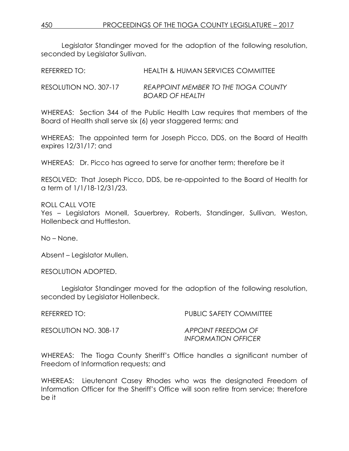Legislator Standinger moved for the adoption of the following resolution, seconded by Legislator Sullivan.

REFERRED TO: **HEALTH & HUMAN SERVICES COMMITTEE** RESOLUTION NO. 307-17 *REAPPOINT MEMBER TO THE TIOGA COUNTY BOARD OF HEALTH*

WHEREAS: Section 344 of the Public Health Law requires that members of the Board of Health shall serve six (6) year staggered terms; and

WHEREAS: The appointed term for Joseph Picco, DDS, on the Board of Health expires 12/31/17; and

WHEREAS: Dr. Picco has agreed to serve for another term; therefore be it

RESOLVED: That Joseph Picco, DDS, be re-appointed to the Board of Health for a term of 1/1/18-12/31/23.

ROLL CALL VOTE

Yes – Legislators Monell, Sauerbrey, Roberts, Standinger, Sullivan, Weston, Hollenbeck and Huttleston.

No – None.

Absent – Legislator Mullen.

RESOLUTION ADOPTED.

Legislator Standinger moved for the adoption of the following resolution, seconded by Legislator Hollenbeck.

REFERRED TO: PUBLIC SAFETY COMMITTEE

RESOLUTION NO. 308-17 *APPOINT FREEDOM OF*

*INFORMATION OFFICER*

WHEREAS: The Tioga County Sheriff's Office handles a significant number of Freedom of Information requests; and

WHEREAS: Lieutenant Casey Rhodes who was the designated Freedom of Information Officer for the Sheriff's Office will soon retire from service; therefore be it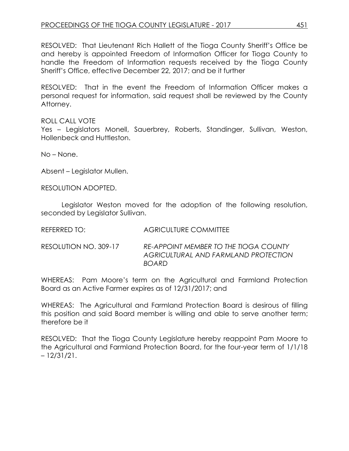RESOLVED: That Lieutenant Rich Hallett of the Tioga County Sheriff's Office be and hereby is appointed Freedom of Information Officer for Tioga County to handle the Freedom of Information requests received by the Tioga County Sheriff's Office, effective December 22, 2017; and be it further

RESOLVED: That in the event the Freedom of Information Officer makes a personal request for information, said request shall be reviewed by the County Attorney.

#### ROLL CALL VOTE

Yes – Legislators Monell, Sauerbrey, Roberts, Standinger, Sullivan, Weston, Hollenbeck and Huttleston.

No – None.

Absent – Legislator Mullen.

RESOLUTION ADOPTED.

Legislator Weston moved for the adoption of the following resolution, seconded by Legislator Sullivan.

REFERRED TO: AGRICULTURE COMMITTEE

RESOLUTION NO. 309-17 *RE-APPOINT MEMBER TO THE TIOGA COUNTY AGRICULTURAL AND FARMLAND PROTECTION BOARD*

WHEREAS: Pam Moore's term on the Agricultural and Farmland Protection Board as an Active Farmer expires as of 12/31/2017; and

WHEREAS: The Agricultural and Farmland Protection Board is desirous of filling this position and said Board member is willing and able to serve another term; therefore be it

RESOLVED: That the Tioga County Legislature hereby reappoint Pam Moore to the Agricultural and Farmland Protection Board, for the four-year term of 1/1/18 – 12/31/21.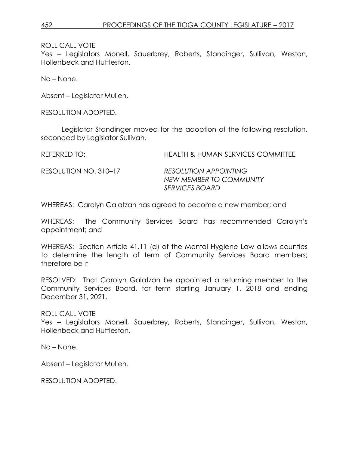Yes – Legislators Monell, Sauerbrey, Roberts, Standinger, Sullivan, Weston, Hollenbeck and Huttleston.

No – None.

Absent – Legislator Mullen.

RESOLUTION ADOPTED.

Legislator Standinger moved for the adoption of the following resolution, seconded by Legislator Sullivan.

REFERRED TO: HEALTH & HUMAN SERVICES COMMITTEE

RESOLUTION NO. 310–17 *RESOLUTION APPOINTING NEW MEMBER TO COMMUNITY SERVICES BOARD*

WHEREAS: Carolyn Galatzan has agreed to become a new member; and

WHEREAS: The Community Services Board has recommended Carolyn's appointment; and

WHEREAS: Section Article 41.11 (d) of the Mental Hygiene Law allows counties to determine the length of term of Community Services Board members; therefore be it

RESOLVED: That Carolyn Galatzan be appointed a returning member to the Community Services Board, for term starting January 1, 2018 and ending December 31, 2021.

ROLL CALL VOTE

Yes – Legislators Monell, Sauerbrey, Roberts, Standinger, Sullivan, Weston, Hollenbeck and Huttleston.

No – None.

Absent – Legislator Mullen.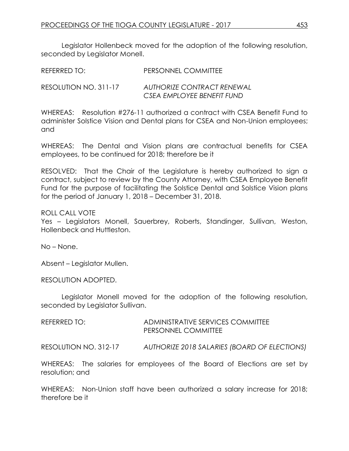Legislator Hollenbeck moved for the adoption of the following resolution, seconded by Legislator Monell.

REFERRED TO: PERSONNEL COMMITTEE

RESOLUTION NO. 311-17 *AUTHORIZE CONTRACT RENEWAL CSEA EMPLOYEE BENEFIT FUND*

WHEREAS: Resolution #276-11 authorized a contract with CSEA Benefit Fund to administer Solstice Vision and Dental plans for CSEA and Non-Union employees; and

WHEREAS: The Dental and Vision plans are contractual benefits for CSEA employees, to be continued for 2018; therefore be it

RESOLVED: That the Chair of the Legislature is hereby authorized to sign a contract, subject to review by the County Attorney, with CSEA Employee Benefit Fund for the purpose of facilitating the Solstice Dental and Solstice Vision plans for the period of January 1, 2018 – December 31, 2018.

ROLL CALL VOTE

Yes – Legislators Monell, Sauerbrey, Roberts, Standinger, Sullivan, Weston, Hollenbeck and Huttleston.

No – None.

Absent – Legislator Mullen.

RESOLUTION ADOPTED.

Legislator Monell moved for the adoption of the following resolution, seconded by Legislator Sullivan.

REFERRED TO: ADMINISTRATIVE SERVICES COMMITTEE PERSONNEL COMMITTEE

RESOLUTION NO. 312-17 *AUTHORIZE 2018 SALARIES (BOARD OF ELECTIONS)*

WHEREAS: The salaries for employees of the Board of Elections are set by resolution; and

WHEREAS: Non-Union staff have been authorized a salary increase for 2018; therefore be it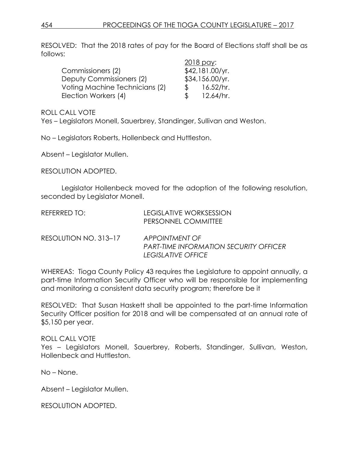RESOLVED: That the 2018 rates of pay for the Board of Elections staff shall be as follows:

|                                |    | 2018 pay:       |
|--------------------------------|----|-----------------|
| Commissioners (2)              |    | \$42,181.00/yr. |
| Deputy Commissioners (2)       |    | \$34,156.00/yr. |
| Voting Machine Technicians (2) |    | 16.52/hr.       |
| Election Workers (4)           | .S | 12.64/hr.       |

ROLL CALL VOTE

Yes – Legislators Monell, Sauerbrey, Standinger, Sullivan and Weston.

No – Legislators Roberts, Hollenbeck and Huttleston.

Absent – Legislator Mullen.

RESOLUTION ADOPTED.

Legislator Hollenbeck moved for the adoption of the following resolution, seconded by Legislator Monell.

| REFERRED TO:          | LEGISLATIVE WORKSESSION<br>PERSONNEL COMMITTEE                  |
|-----------------------|-----------------------------------------------------------------|
| RESOLUTION NO. 313–17 | APPOINTMENT OF<br><b>PART-TIME INFORMATION SECURITY OFFICER</b> |

WHEREAS: Tioga County Policy 43 requires the Legislature to appoint annually, a part-time Information Security Officer who will be responsible for implementing and monitoring a consistent data security program; therefore be it

*LEGISLATIVE OFFICE*

RESOLVED: That Susan Haskett shall be appointed to the part-time Information Security Officer position for 2018 and will be compensated at an annual rate of \$5,150 per year.

#### ROLL CALL VOTE

Yes – Legislators Monell, Sauerbrey, Roberts, Standinger, Sullivan, Weston, Hollenbeck and Huttleston.

No – None.

Absent – Legislator Mullen.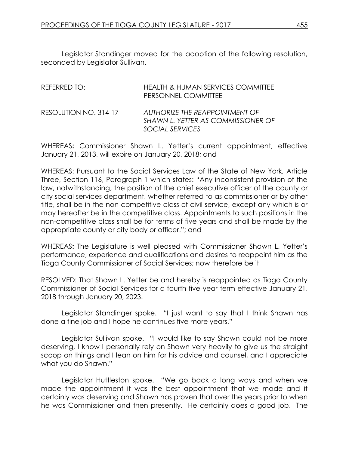Legislator Standinger moved for the adoption of the following resolution, seconded by Legislator Sullivan.

| REFERRED TO:          | <b>HEALTH &amp; HUMAN SERVICES COMMITTEE</b><br>PERSONNEL COMMITTEE                            |
|-----------------------|------------------------------------------------------------------------------------------------|
| RESOLUTION NO. 314-17 | AUTHORIZE THE REAPPOINTMENT OF<br><b>SHAWN L. YETTER AS COMMISSIONER OF</b><br>SOCIAL SERVICES |

WHEREAS**:** Commissioner Shawn L. Yetter's current appointment, effective January 21, 2013, will expire on January 20, 2018; and

WHEREAS: Pursuant to the Social Services Law of the State of New York, Article Three, Section 116, Paragraph 1 which states: "Any inconsistent provision of the law, notwithstanding, the position of the chief executive officer of the county or city social services department, whether referred to as commissioner or by other title, shall be in the non-competitive class of civil service, except any which is or may hereafter be in the competitive class. Appointments to such positions in the non-competitive class shall be for terms of five years and shall be made by the appropriate county or city body or officer."; and

WHEREAS**:** The Legislature is well pleased with Commissioner Shawn L. Yetter's performance, experience and qualifications and desires to reappoint him as the Tioga County Commissioner of Social Services; now therefore be it

RESOLVED: That Shawn L. Yetter be and hereby is reappointed as Tioga County Commissioner of Social Services for a fourth five-year term effective January 21, 2018 through January 20, 2023.

Legislator Standinger spoke. "I just want to say that I think Shawn has done a fine job and I hope he continues five more years."

Legislator Sullivan spoke. "I would like to say Shawn could not be more deserving, I know I personally rely on Shawn very heavily to give us the straight scoop on things and I lean on him for his advice and counsel, and I appreciate what you do Shawn."

Legislator Huttleston spoke. "We go back a long ways and when we made the appointment it was the best appointment that we made and it certainly was deserving and Shawn has proven that over the years prior to when he was Commissioner and then presently. He certainly does a good job. The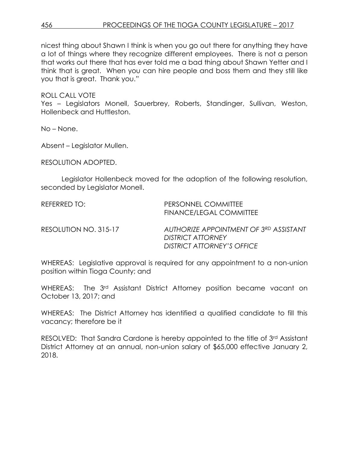nicest thing about Shawn I think is when you go out there for anything they have a lot of things where they recognize different employees. There is not a person that works out there that has ever told me a bad thing about Shawn Yetter and I think that is great. When you can hire people and boss them and they still like you that is great. Thank you."

ROLL CALL VOTE

Yes – Legislators Monell, Sauerbrey, Roberts, Standinger, Sullivan, Weston, Hollenbeck and Huttleston.

No – None.

Absent – Legislator Mullen.

RESOLUTION ADOPTED.

Legislator Hollenbeck moved for the adoption of the following resolution, seconded by Legislator Monell.

REFERRED TO: PERSONNEL COMMITTEE FINANCE/LEGAL COMMITTEE RESOLUTION NO. 315-17 *AUTHORIZE APPOINTMENT OF 3RD ASSISTANT DISTRICT ATTORNEY DISTRICT ATTORNEY'S OFFICE*

WHEREAS: Legislative approval is required for any appointment to a non-union position within Tioga County; and

WHEREAS: The 3<sup>rd</sup> Assistant District Attorney position became vacant on October 13, 2017; and

WHEREAS: The District Attorney has identified a qualified candidate to fill this vacancy; therefore be it

RESOLVED: That Sandra Cardone is hereby appointed to the title of 3<sup>rd</sup> Assistant District Attorney at an annual, non-union salary of \$65,000 effective January 2, 2018.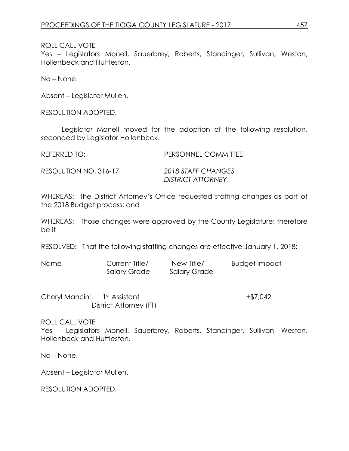Yes – Legislators Monell, Sauerbrey, Roberts, Standinger, Sullivan, Weston, Hollenbeck and Huttleston.

No – None.

Absent – Legislator Mullen.

RESOLUTION ADOPTED.

Legislator Monell moved for the adoption of the following resolution, seconded by Legislator Hollenbeck.

REFERRED TO: PERSONNEL COMMITTEE

RESOLUTION NO. 316-17 *2018 STAFF CHANGES*

*DISTRICT ATTORNEY*

WHEREAS: The District Attorney's Office requested staffing changes as part of the 2018 Budget process; and

WHEREAS: Those changes were approved by the County Legislature; therefore be it

RESOLVED: That the following staffing changes are effective January 1, 2018:

| <b>Name</b> | Current Title/      | New Title/   | <b>Budget Impact</b> |
|-------------|---------------------|--------------|----------------------|
|             | <b>Salary Grade</b> | Salary Grade |                      |

Cheryl Mancini 1st Assistant +\$7,042 District Attorney (FT)

ROLL CALL VOTE

Yes – Legislators Monell, Sauerbrey, Roberts, Standinger, Sullivan, Weston, Hollenbeck and Huttleston.

No – None.

Absent – Legislator Mullen.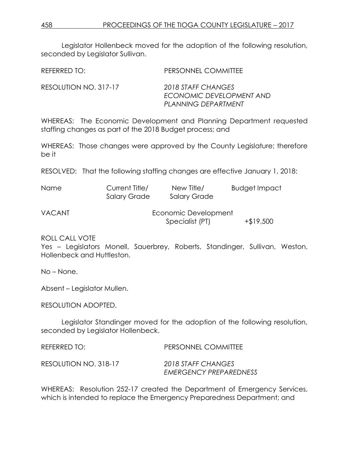Legislator Hollenbeck moved for the adoption of the following resolution, seconded by Legislator Sullivan.

| REFERRED TO:          | PERSONNEL COMMITTEE                                                   |
|-----------------------|-----------------------------------------------------------------------|
| RESOLUTION NO. 317-17 | 2018 STAFF CHANGES<br>ECONOMIC DEVELOPMENT AND<br>PLANNING DEPARTMENT |

WHEREAS: The Economic Development and Planning Department requested staffing changes as part of the 2018 Budget process; and

WHEREAS: Those changes were approved by the County Legislature; therefore be it

RESOLVED: That the following staffing changes are effective January 1, 2018:

| <b>Name</b>   | Current Title/<br><b>Salary Grade</b> | New Title/<br><b>Salary Grade</b>       | <b>Budget Impact</b> |
|---------------|---------------------------------------|-----------------------------------------|----------------------|
| <b>VACANT</b> |                                       | Economic Development<br>Specialist (PT) | $+ $19,500$          |

ROLL CALL VOTE

Yes – Legislators Monell, Sauerbrey, Roberts, Standinger, Sullivan, Weston, Hollenbeck and Huttleston.

No – None.

Absent – Legislator Mullen.

RESOLUTION ADOPTED.

Legislator Standinger moved for the adoption of the following resolution, seconded by Legislator Hollenbeck.

| REFERRED TO:          | PERSONNEL COMMITTEE                          |
|-----------------------|----------------------------------------------|
| RESOLUTION NO. 318-17 | 2018 STAFF CHANGES<br>EMERGENCY PREPAREDNESS |

WHEREAS: Resolution 252-17 created the Department of Emergency Services, which is intended to replace the Emergency Preparedness Department; and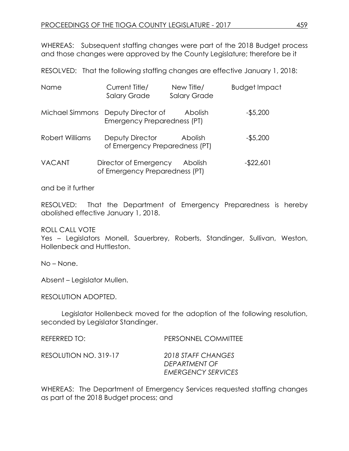WHEREAS: Subsequent staffing changes were part of the 2018 Budget process and those changes were approved by the County Legislature; therefore be it

RESOLVED: That the following staffing changes are effective January 1, 2018:

| Name                   | Current Title/<br><b>Salary Grade</b>                             | New Title/<br><b>Salary Grade</b> | <b>Budget Impact</b> |
|------------------------|-------------------------------------------------------------------|-----------------------------------|----------------------|
|                        | Michael Simmons Deputy Director of<br>Emergency Preparedness (PT) | Abolish                           | $-$5,200$            |
| <b>Robert Williams</b> | Deputy Director<br>of Emergency Preparedness (PT)                 | Abolish                           | $-$5,200$            |
| <b>VACANT</b>          | Director of Emergency<br>of Emergency Preparedness (PT)           | Abolish                           | $-$ \$22,601         |

and be it further

RESOLVED: That the Department of Emergency Preparedness is hereby abolished effective January 1, 2018.

ROLL CALL VOTE

Yes – Legislators Monell, Sauerbrey, Roberts, Standinger, Sullivan, Weston, Hollenbeck and Huttleston.

No – None.

Absent – Legislator Mullen.

RESOLUTION ADOPTED.

Legislator Hollenbeck moved for the adoption of the following resolution, seconded by Legislator Standinger.

REFERRED TO: PERSONNEL COMMITTEE

RESOLUTION NO. 319-17 *2018 STAFF CHANGES*

*DEPARTMENT OF EMERGENCY SERVICES*

WHEREAS: The Department of Emergency Services requested staffing changes as part of the 2018 Budget process; and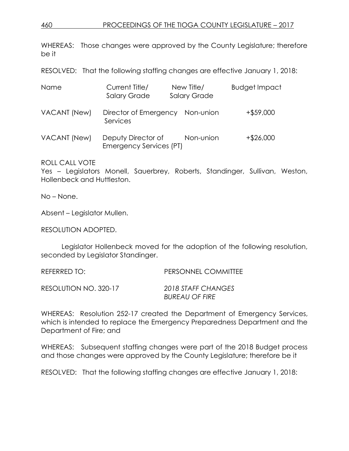# 460 PROCEEDINGS OF THE TIOGA COUNTY LEGISLATURE – 2017

WHEREAS: Those changes were approved by the County Legislature; therefore be it

RESOLVED: That the following staffing changes are effective January 1, 2018:

| Name         | Current Title/<br><b>Salary Grade</b>         | New Title/<br><b>Salary Grade</b> | <b>Budget Impact</b> |
|--------------|-----------------------------------------------|-----------------------------------|----------------------|
| VACANT (New) | Director of Emergency<br>Services             | Non-union                         | $+$ \$59,000         |
| VACANT (New) | Deputy Director of<br>Emergency Services (PT) | Non-union                         | $+$ \$26,000         |

ROLL CALL VOTE

Yes – Legislators Monell, Sauerbrey, Roberts, Standinger, Sullivan, Weston, Hollenbeck and Huttleston.

No – None.

Absent – Legislator Mullen.

RESOLUTION ADOPTED.

Legislator Hollenbeck moved for the adoption of the following resolution, seconded by Legislator Standinger.

| REFERRED TO:          | PERSONNEL COMMITTEE   |
|-----------------------|-----------------------|
| RESOLUTION NO. 320-17 | 2018 STAFF CHANGES    |
|                       | <b>BUREAU OF FIRE</b> |

WHEREAS: Resolution 252-17 created the Department of Emergency Services, which is intended to replace the Emergency Preparedness Department and the Department of Fire; and

WHEREAS: Subsequent staffing changes were part of the 2018 Budget process and those changes were approved by the County Legislature; therefore be it

RESOLVED: That the following staffing changes are effective January 1, 2018: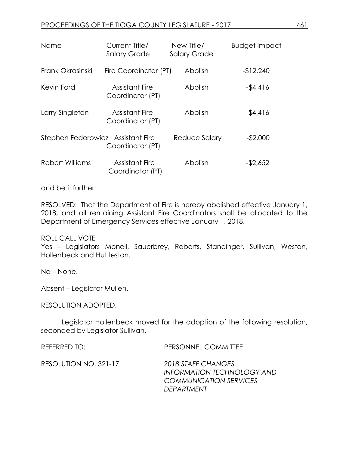| Name                              | Current Title/<br><b>Salary Grade</b>     | New Title/<br><b>Salary Grade</b> | <b>Budget Impact</b> |
|-----------------------------------|-------------------------------------------|-----------------------------------|----------------------|
| Frank Okrasinski                  | Fire Coordinator (PT)                     | Abolish                           | $-12,240$            |
| Kevin Ford                        | <b>Assistant Fire</b><br>Coordinator (PT) | Abolish                           | $-$4,416$            |
| Larry Singleton                   | <b>Assistant Fire</b><br>Coordinator (PT) | Abolish                           | $-$4,416$            |
| Stephen Fedorowicz Assistant Fire | Coordinator (PT)                          | Reduce Salary                     | $-$2,000$            |
| Robert Williams                   | <b>Assistant Fire</b><br>Coordinator (PT) | Abolish                           | $-$ \$2,652          |

and be it further

RESOLVED: That the Department of Fire is hereby abolished effective January 1, 2018, and all remaining Assistant Fire Coordinators shall be allocated to the Department of Emergency Services effective January 1, 2018.

ROLL CALL VOTE

Yes – Legislators Monell, Sauerbrey, Roberts, Standinger, Sullivan, Weston, Hollenbeck and Huttleston.

No – None.

Absent – Legislator Mullen.

RESOLUTION ADOPTED.

Legislator Hollenbeck moved for the adoption of the following resolution, seconded by Legislator Sullivan.

REFERRED TO: PERSONNEL COMMITTEE

RESOLUTION NO. 321-17 *2018 STAFF CHANGES*

*INFORMATION TECHNOLOGY AND COMMUNICATION SERVICES DEPARTMENT*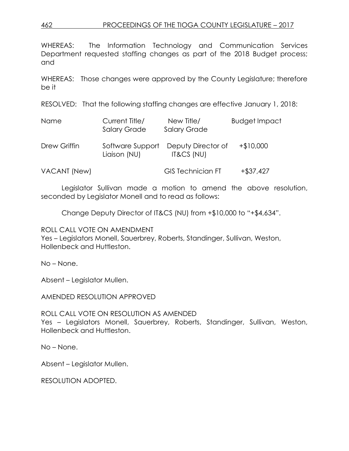# 462 PROCEEDINGS OF THE TIOGA COUNTY LEGISLATURE – 2017

WHEREAS: The Information Technology and Communication Services Department requested staffing changes as part of the 2018 Budget process; and

WHEREAS: Those changes were approved by the County Legislature; therefore be it

RESOLVED: That the following staffing changes are effective January 1, 2018:

| <b>Name</b>  | Current Title/<br><b>Salary Grade</b> | New Title/<br><b>Salary Grade</b> | <b>Budget Impact</b> |
|--------------|---------------------------------------|-----------------------------------|----------------------|
| Drew Griffin | Software Support<br>Liaison (NU)      | Deputy Director of<br>IT&CS (NU)  | $+$10,000$           |
| VACANT (New) |                                       | <b>GIS Technician FT</b>          | $+ $37,427$          |

Legislator Sullivan made a motion to amend the above resolution, seconded by Legislator Monell and to read as follows:

Change Deputy Director of IT&CS (NU) from +\$10,000 to "+\$4,634".

ROLL CALL VOTE ON AMENDMENT

Yes – Legislators Monell, Sauerbrey, Roberts, Standinger, Sullivan, Weston, Hollenbeck and Huttleston.

No – None.

Absent – Legislator Mullen.

AMENDED RESOLUTION APPROVED

ROLL CALL VOTE ON RESOLUTION AS AMENDED Yes – Legislators Monell, Sauerbrey, Roberts, Standinger, Sullivan, Weston, Hollenbeck and Huttleston.

No – None.

Absent – Legislator Mullen.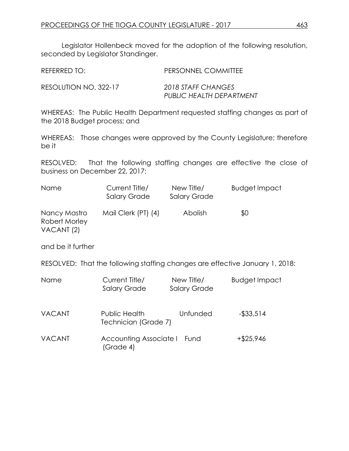Legislator Hollenbeck moved for the adoption of the following resolution, seconded by Legislator Standinger.

| REFERRED TO:          | PERSONNEL COMMITTEE                            |
|-----------------------|------------------------------------------------|
| RESOLUTION NO. 322-17 | 2018 STAFF CHANGES<br>PUBLIC HEALTH DEPARTMENT |

WHEREAS: The Public Health Department requested staffing changes as part of the 2018 Budget process; and

WHEREAS: Those changes were approved by the County Legislature; therefore be it

RESOLVED: That the following staffing changes are effective the close of business on December 22, 2017:

| <b>Name</b>                                            | Current Title/<br><b>Salary Grade</b> | New Title/<br><b>Salary Grade</b> | <b>Budget Impact</b> |
|--------------------------------------------------------|---------------------------------------|-----------------------------------|----------------------|
| Nancy Mastro<br>Robert Morley<br>VACANT <sub>(2)</sub> | Mail Clerk (PT) (4)                   | <b>Abolish</b>                    | \$0                  |

and be it further

RESOLVED: That the following staffing changes are effective January 1, 2018:

| Name          | Current Title/<br><b>Salary Grade</b> | New Title/<br><b>Salary Grade</b> | <b>Budget Impact</b> |
|---------------|---------------------------------------|-----------------------------------|----------------------|
| <b>VACANT</b> | Public Health<br>Technician (Grade 7) | Unfunded                          | $-$ \$33,514         |
| <b>VACANT</b> | Accounting Associate I<br>(Grade 4)   | Fund                              | $+$ \$25,946         |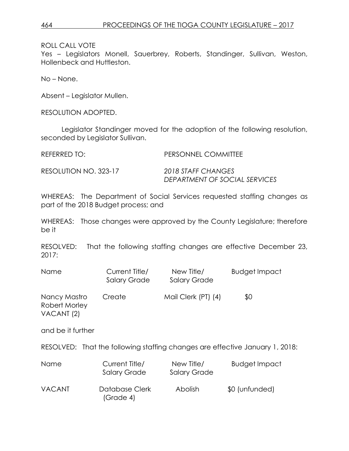Yes – Legislators Monell, Sauerbrey, Roberts, Standinger, Sullivan, Weston, Hollenbeck and Huttleston.

No – None.

Absent – Legislator Mullen.

RESOLUTION ADOPTED.

Legislator Standinger moved for the adoption of the following resolution, seconded by Legislator Sullivan.

REFERRED TO: PERSONNEL COMMITTEE

RESOLUTION NO. 323-17 *2018 STAFF CHANGES*

*DEPARTMENT OF SOCIAL SERVICES*

WHEREAS: The Department of Social Services requested staffing changes as part of the 2018 Budget process; and

WHEREAS: Those changes were approved by the County Legislature; therefore be it

RESOLVED: That the following staffing changes are effective December 23, 2017:

| Name                                                   | Current Title/<br><b>Salary Grade</b> | New Title/<br><b>Salary Grade</b> | <b>Budget Impact</b>                                                         |
|--------------------------------------------------------|---------------------------------------|-----------------------------------|------------------------------------------------------------------------------|
| Nancy Mastro<br>Robert Morley<br>VACANT <sub>(2)</sub> | Create                                | Mail Clerk (PT) (4)               | \$0                                                                          |
| and be it further                                      |                                       |                                   |                                                                              |
|                                                        |                                       |                                   | RESOLVED: That the following staffing changes are effective January 1, 2018: |
| Name                                                   | Current Title/<br><b>Salary Grade</b> | New Title/<br><b>Salary Grade</b> | <b>Budget Impact</b>                                                         |
| <b>VACANT</b>                                          | Database Clerk<br>(Grade 4)           | Abolish                           | \$0 (unfunded)                                                               |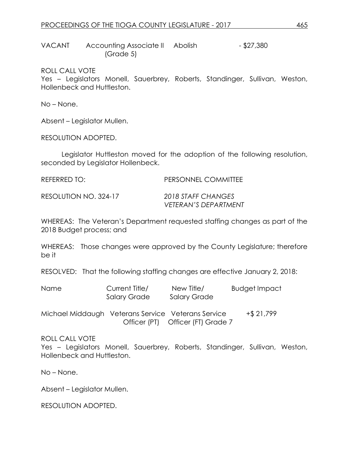VACANT Accounting Associate II Abolish - \$27,380 (Grade 5)

ROLL CALL VOTE

Yes – Legislators Monell, Sauerbrey, Roberts, Standinger, Sullivan, Weston, Hollenbeck and Huttleston.

No – None.

Absent – Legislator Mullen.

RESOLUTION ADOPTED.

Legislator Huttleston moved for the adoption of the following resolution, seconded by Legislator Hollenbeck.

| REFERRED TO:          | <b>PERSONNEL COMMITTEE</b>                        |
|-----------------------|---------------------------------------------------|
| RESOLUTION NO. 324-17 | 2018 STAFF CHANGES<br><b>VETERAN'S DEPARTMENT</b> |

WHEREAS: The Veteran's Department requested staffing changes as part of the 2018 Budget process; and

WHEREAS: Those changes were approved by the County Legislature; therefore be it

RESOLVED: That the following staffing changes are effective January 2, 2018:

| <b>Name</b> | Current Title/ | New Title/   | Budget Impact |
|-------------|----------------|--------------|---------------|
|             | Salary Grade   | Salary Grade |               |

Michael Middaugh Veterans Service Veterans Service +\$ 21,799 Officer (PT) Officer (FT) Grade 7

ROLL CALL VOTE

Yes – Legislators Monell, Sauerbrey, Roberts, Standinger, Sullivan, Weston, Hollenbeck and Huttleston.

No – None.

Absent – Legislator Mullen.